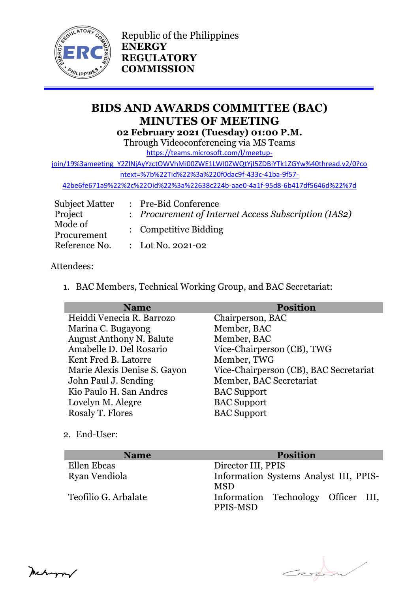

Republic of the Philippines **ENERGY REGULATORY COMMISSION**

# **BIDS AND AWARDS COMMITTEE (BAC) MINUTES OF MEETING 02 February 2021 (Tuesday) 01:00 P.M.**

Through Videoconferencing via MS Teams

[https://teams.microsoft.com/l/meetup-](https://teams.microsoft.com/l/meetup-join/19%3ameeting_Y2ZlNjAyYzctOWVhMi00ZWE1LWI0ZWQtYjI5ZDBiYTk1ZGYw%40thread.v2/0?context=%7b%22Tid%22%3a%220f0dac9f-433c-41ba-9f57-42be6fe671a9%22%2c%22Oid%22%3a%22638c224b-aae0-4a1f-95d8-6b417df5646d%22%7d)

[join/19%3ameeting\\_Y2ZlNjAyYzctOWVhMi00ZWE1LWI0ZWQtYjI5ZDBiYTk1ZGYw%40thread.v2/0?co](https://teams.microsoft.com/l/meetup-join/19%3ameeting_Y2ZlNjAyYzctOWVhMi00ZWE1LWI0ZWQtYjI5ZDBiYTk1ZGYw%40thread.v2/0?context=%7b%22Tid%22%3a%220f0dac9f-433c-41ba-9f57-42be6fe671a9%22%2c%22Oid%22%3a%22638c224b-aae0-4a1f-95d8-6b417df5646d%22%7d)

[ntext=%7b%22Tid%22%3a%220f0dac9f-433c-41ba-9f57-](https://teams.microsoft.com/l/meetup-join/19%3ameeting_Y2ZlNjAyYzctOWVhMi00ZWE1LWI0ZWQtYjI5ZDBiYTk1ZGYw%40thread.v2/0?context=%7b%22Tid%22%3a%220f0dac9f-433c-41ba-9f57-42be6fe671a9%22%2c%22Oid%22%3a%22638c224b-aae0-4a1f-95d8-6b417df5646d%22%7d)

[42be6fe671a9%22%2c%22Oid%22%3a%22638c224b-aae0-4a1f-95d8-6b417df5646d%22%7d](https://teams.microsoft.com/l/meetup-join/19%3ameeting_Y2ZlNjAyYzctOWVhMi00ZWE1LWI0ZWQtYjI5ZDBiYTk1ZGYw%40thread.v2/0?context=%7b%22Tid%22%3a%220f0dac9f-433c-41ba-9f57-42be6fe671a9%22%2c%22Oid%22%3a%22638c224b-aae0-4a1f-95d8-6b417df5646d%22%7d)

| <b>Subject Matter</b>  | : Pre-Bid Conference                                 |
|------------------------|------------------------------------------------------|
| Project                | : Procurement of Internet Access Subscription (IAS2) |
| Mode of<br>Procurement | : Competitive Bidding                                |
| Reference No.          | : Lot No. 2021-02                                    |

# Attendees:

1. BAC Members, Technical Working Group, and BAC Secretariat:

| <b>Name</b>                     | <b>Position</b>                        |
|---------------------------------|----------------------------------------|
| Heiddi Venecia R. Barrozo       | Chairperson, BAC                       |
| Marina C. Bugayong              | Member, BAC                            |
| <b>August Anthony N. Balute</b> | Member, BAC                            |
| Amabelle D. Del Rosario         | Vice-Chairperson (CB), TWG             |
| Kent Fred B. Latorre            | Member, TWG                            |
| Marie Alexis Denise S. Gayon    | Vice-Chairperson (CB), BAC Secretariat |
| John Paul J. Sending            | Member, BAC Secretariat                |
| Kio Paulo H. San Andres         | <b>BAC</b> Support                     |
| Lovelyn M. Alegre               | <b>BAC</b> Support                     |
| Rosaly T. Flores                | <b>BAC</b> Support                     |

2. End-User:

| <b>Name</b>          | <b>Position</b>                                      |
|----------------------|------------------------------------------------------|
| Ellen Ebcas          | Director III, PPIS                                   |
| Ryan Vendiola        | Information Systems Analyst III, PPIS-<br><b>MSD</b> |
| Teofilio G. Arbalate | Information Technology Officer III,<br>PPIS-MSD      |

Erst

Meturn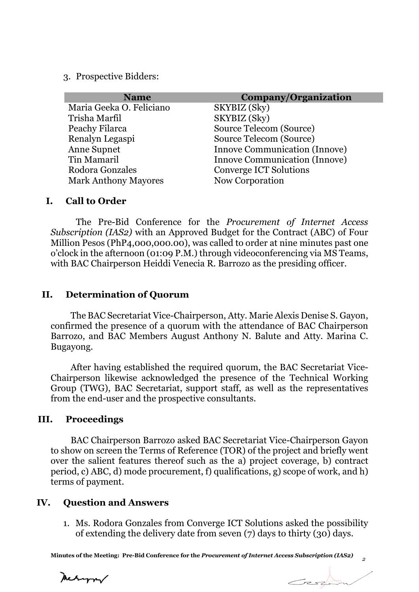3. Prospective Bidders:

| <b>Name</b>                 | Company/Organization                 |
|-----------------------------|--------------------------------------|
| Maria Geeka O. Feliciano    | SKYBIZ (Sky)                         |
| Trisha Marfil               | SKYBIZ (Sky)                         |
| Peachy Filarca              | Source Telecom (Source)              |
| Renalyn Legaspi             | Source Telecom (Source)              |
| <b>Anne Supnet</b>          | <b>Innove Communication (Innove)</b> |
| Tin Mamaril                 | <b>Innove Communication (Innove)</b> |
| Rodora Gonzales             | <b>Converge ICT Solutions</b>        |
| <b>Mark Anthony Mayores</b> | Now Corporation                      |

#### **I. Call to Order**

The Pre-Bid Conference for the *Procurement of Internet Access Subscription (IAS2)* with an Approved Budget for the Contract (ABC) of Four Million Pesos (PhP4,000,000.00), was called to order at nine minutes past one o'clock in the afternoon (01:09 P.M.) through videoconferencing via MS Teams, with BAC Chairperson Heiddi Venecia R. Barrozo as the presiding officer.

#### **II. Determination of Quorum**

The BAC Secretariat Vice-Chairperson, Atty. Marie Alexis Denise S. Gayon, confirmed the presence of a quorum with the attendance of BAC Chairperson Barrozo, and BAC Members August Anthony N. Balute and Atty. Marina C. Bugayong.

After having established the required quorum, the BAC Secretariat Vice-Chairperson likewise acknowledged the presence of the Technical Working Group (TWG), BAC Secretariat, support staff, as well as the representatives from the end-user and the prospective consultants.

## **III. Proceedings**

BAC Chairperson Barrozo asked BAC Secretariat Vice-Chairperson Gayon to show on screen the Terms of Reference (TOR) of the project and briefly went over the salient features thereof such as the a) project coverage, b) contract period, c) ABC, d) mode procurement, f) qualifications, g) scope of work, and h) terms of payment.

#### **IV. Question and Answers**

1. Ms. Rodora Gonzales from Converge ICT Solutions asked the possibility of extending the delivery date from seven (7) days to thirty (30) days.

**Minutes of the Meeting: Pre-Bid Conference for the** *Procurement of Internet Access Subscription (IAS2)*

Mechangrav

 $\rightarrow$ 

*2*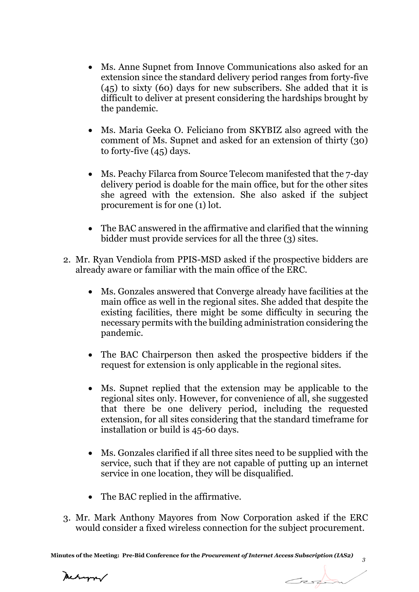- Ms. Anne Supnet from Innove Communications also asked for an extension since the standard delivery period ranges from forty-five (45) to sixty (60) days for new subscribers. She added that it is difficult to deliver at present considering the hardships brought by the pandemic.
- Ms. Maria Geeka O. Feliciano from SKYBIZ also agreed with the comment of Ms. Supnet and asked for an extension of thirty (30) to forty-five (45) days.
- Ms. Peachy Filarca from Source Telecom manifested that the 7-day delivery period is doable for the main office, but for the other sites she agreed with the extension. She also asked if the subject procurement is for one (1) lot.
- The BAC answered in the affirmative and clarified that the winning bidder must provide services for all the three (3) sites.
- 2. Mr. Ryan Vendiola from PPIS-MSD asked if the prospective bidders are already aware or familiar with the main office of the ERC.
	- Ms. Gonzales answered that Converge already have facilities at the main office as well in the regional sites. She added that despite the existing facilities, there might be some difficulty in securing the necessary permits with the building administration considering the pandemic.
	- The BAC Chairperson then asked the prospective bidders if the request for extension is only applicable in the regional sites.
	- Ms. Supnet replied that the extension may be applicable to the regional sites only. However, for convenience of all, she suggested that there be one delivery period, including the requested extension, for all sites considering that the standard timeframe for installation or build is 45-60 days.
	- Ms. Gonzales clarified if all three sites need to be supplied with the service, such that if they are not capable of putting up an internet service in one location, they will be disqualified.
	- The BAC replied in the affirmative.
- 3. Mr. Mark Anthony Mayores from Now Corporation asked if the ERC would consider a fixed wireless connection for the subject procurement.

Mechangrav

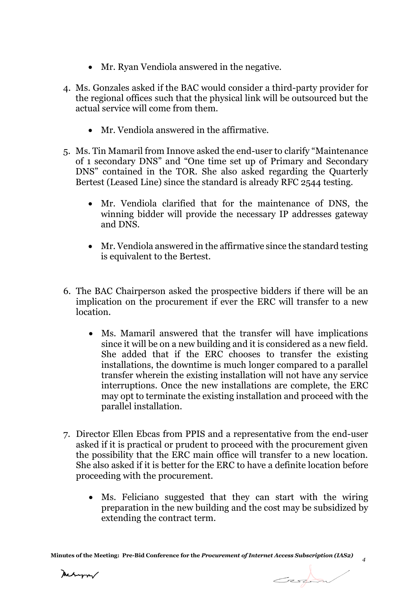- Mr. Ryan Vendiola answered in the negative.
- 4. Ms. Gonzales asked if the BAC would consider a third-party provider for the regional offices such that the physical link will be outsourced but the actual service will come from them.
	- Mr. Vendiola answered in the affirmative.
- 5. Ms. Tin Mamaril from Innove asked the end-user to clarify "Maintenance of 1 secondary DNS" and "One time set up of Primary and Secondary DNS" contained in the TOR. She also asked regarding the Quarterly Bertest (Leased Line) since the standard is already RFC 2544 testing.
	- Mr. Vendiola clarified that for the maintenance of DNS, the winning bidder will provide the necessary IP addresses gateway and DNS.
	- Mr. Vendiola answered in the affirmative since the standard testing is equivalent to the Bertest.
- 6. The BAC Chairperson asked the prospective bidders if there will be an implication on the procurement if ever the ERC will transfer to a new location.
	- Ms. Mamaril answered that the transfer will have implications since it will be on a new building and it is considered as a new field. She added that if the ERC chooses to transfer the existing installations, the downtime is much longer compared to a parallel transfer wherein the existing installation will not have any service interruptions. Once the new installations are complete, the ERC may opt to terminate the existing installation and proceed with the parallel installation.
- 7. Director Ellen Ebcas from PPIS and a representative from the end-user asked if it is practical or prudent to proceed with the procurement given the possibility that the ERC main office will transfer to a new location. She also asked if it is better for the ERC to have a definite location before proceeding with the procurement.
	- Ms. Feliciano suggested that they can start with the wiring preparation in the new building and the cost may be subsidized by extending the contract term.

*4*

Carpon

Meturn/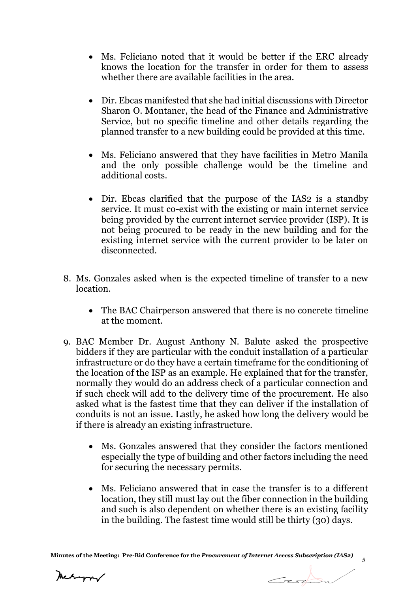- Ms. Feliciano noted that it would be better if the ERC already knows the location for the transfer in order for them to assess whether there are available facilities in the area.
- Dir. Ebcas manifested that she had initial discussions with Director Sharon O. Montaner, the head of the Finance and Administrative Service, but no specific timeline and other details regarding the planned transfer to a new building could be provided at this time.
- Ms. Feliciano answered that they have facilities in Metro Manila and the only possible challenge would be the timeline and additional costs.
- Dir. Ebcas clarified that the purpose of the IAS2 is a standby service. It must co-exist with the existing or main internet service being provided by the current internet service provider (ISP). It is not being procured to be ready in the new building and for the existing internet service with the current provider to be later on disconnected.
- 8. Ms. Gonzales asked when is the expected timeline of transfer to a new location.
	- The BAC Chairperson answered that there is no concrete timeline at the moment.
- 9. BAC Member Dr. August Anthony N. Balute asked the prospective bidders if they are particular with the conduit installation of a particular infrastructure or do they have a certain timeframe for the conditioning of the location of the ISP as an example. He explained that for the transfer, normally they would do an address check of a particular connection and if such check will add to the delivery time of the procurement. He also asked what is the fastest time that they can deliver if the installation of conduits is not an issue. Lastly, he asked how long the delivery would be if there is already an existing infrastructure.
	- Ms. Gonzales answered that they consider the factors mentioned especially the type of building and other factors including the need for securing the necessary permits.
	- Ms. Feliciano answered that in case the transfer is to a different location, they still must lay out the fiber connection in the building and such is also dependent on whether there is an existing facility in the building. The fastest time would still be thirty (30) days.

Mehapor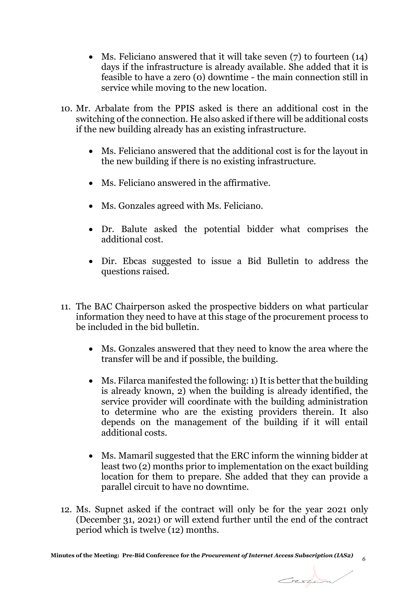- Ms. Feliciano answered that it will take seven (7) to fourteen (14) days if the infrastructure is already available. She added that it is feasible to have a zero (0) downtime - the main connection still in service while moving to the new location.
- 10. Mr. Arbalate from the PPIS asked is there an additional cost in the switching of the connection. He also asked if there will be additional costs if the new building already has an existing infrastructure.
	- Ms. Feliciano answered that the additional cost is for the layout in the new building if there is no existing infrastructure.
	- Ms. Feliciano answered in the affirmative.
	- Ms. Gonzales agreed with Ms. Feliciano.
	- Dr. Balute asked the potential bidder what comprises the additional cost.
	- Dir. Ebcas suggested to issue a Bid Bulletin to address the questions raised.
- 11. The BAC Chairperson asked the prospective bidders on what particular information they need to have at this stage of the procurement process to be included in the bid bulletin.
	- Ms. Gonzales answered that they need to know the area where the transfer will be and if possible, the building.
	- Ms. Filarca manifested the following: 1) It is better that the building is already known, 2) when the building is already identified, the service provider will coordinate with the building administration to determine who are the existing providers therein. It also depends on the management of the building if it will entail additional costs.
	- Ms. Mamaril suggested that the ERC inform the winning bidder at least two (2) months prior to implementation on the exact building location for them to prepare. She added that they can provide a parallel circuit to have no downtime.

Carpon

12. Ms. Supnet asked if the contract will only be for the year 2021 only (December 31, 2021) or will extend further until the end of the contract period which is twelve (12) months.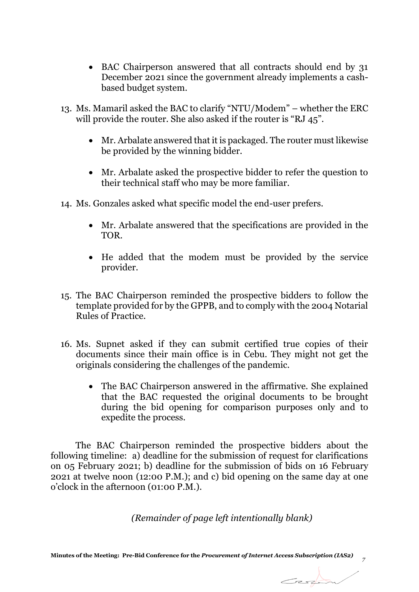- BAC Chairperson answered that all contracts should end by 31 December 2021 since the government already implements a cashbased budget system.
- 13. Ms. Mamaril asked the BAC to clarify "NTU/Modem" whether the ERC will provide the router. She also asked if the router is "RJ 45".
	- Mr. Arbalate answered that it is packaged. The router must likewise be provided by the winning bidder.
	- Mr. Arbalate asked the prospective bidder to refer the question to their technical staff who may be more familiar.
- 14. Ms. Gonzales asked what specific model the end-user prefers.
	- Mr. Arbalate answered that the specifications are provided in the TOR.
	- He added that the modem must be provided by the service provider.
- 15. The BAC Chairperson reminded the prospective bidders to follow the template provided for by the GPPB, and to comply with the 2004 Notarial Rules of Practice.
- 16. Ms. Supnet asked if they can submit certified true copies of their documents since their main office is in Cebu. They might not get the originals considering the challenges of the pandemic.
	- The BAC Chairperson answered in the affirmative. She explained that the BAC requested the original documents to be brought during the bid opening for comparison purposes only and to expedite the process.

The BAC Chairperson reminded the prospective bidders about the following timeline: a) deadline for the submission of request for clarifications on 05 February 2021; b) deadline for the submission of bids on 16 February 2021 at twelve noon (12:00 P.M.); and c) bid opening on the same day at one o'clock in the afternoon (01:00 P.M.).

*(Remainder of page left intentionally blank)*

*7*

Cession